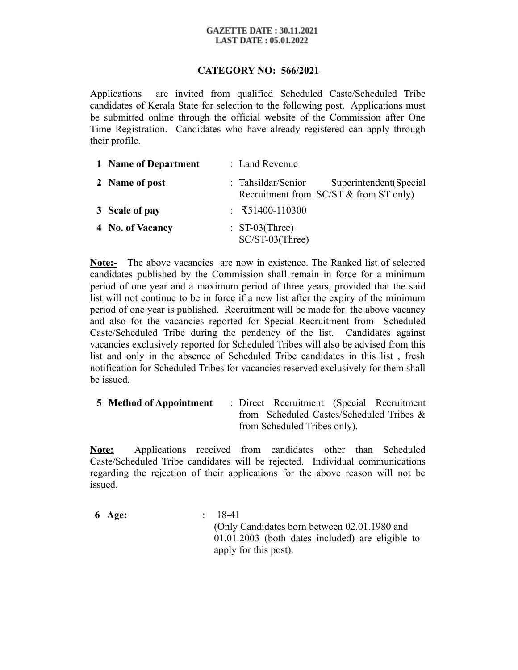#### **GAZETTE DATE: 30.11.2021 LAST DATE : 05.01.2022**

## **CATEGORY NO: 566/2021**

Applications are invited from qualified Scheduled Caste/Scheduled Tribe candidates of Kerala State for selection to the following post. Applications must be submitted online through the official website of the Commission after One Time Registration. Candidates who have already registered can apply through their profile.

| 1 Name of Department | : Land Revenue                                                                             |
|----------------------|--------------------------------------------------------------------------------------------|
| 2 Name of post       | Superintendent (Special<br>: Tahsildar/Senior<br>Recruitment from $SC/ST \&$ from ST only) |
| 3 Scale of pay       | : $\overline{5}1400-110300$                                                                |
| 4 No. of Vacancy     | $: ST-03$ (Three)<br>SC/ST-03(Three)                                                       |

**Note:-** The above vacancies are now in existence. The Ranked list of selected candidates published by the Commission shall remain in force for a minimum period of one year and a maximum period of three years, provided that the said list will not continue to be in force if a new list after the expiry of the minimum period of one year is published. Recruitment will be made for the above vacancy and also for the vacancies reported for Special Recruitment from Scheduled Caste/Scheduled Tribe during the pendency of the list. Candidates against vacancies exclusively reported for Scheduled Tribes will also be advised from this list and only in the absence of Scheduled Tribe candidates in this list , fresh notification for Scheduled Tribes for vacancies reserved exclusively for them shall be issued.

**5 Method of Appointment** : Direct Recruitment (Special Recruitment from Scheduled Castes/Scheduled Tribes & from Scheduled Tribes only).

**Note:** Applications received from candidates other than Scheduled Caste/Scheduled Tribe candidates will be rejected. Individual communications regarding the rejection of their applications for the above reason will not be issued.

**6 Age:** : 18-41 (Only Candidates born between 02.01.1980 and 01.01.2003 (both dates included) are eligible to apply for this post).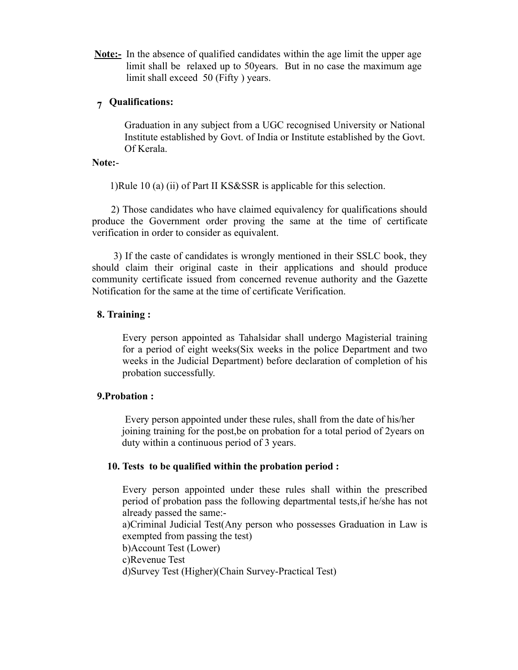**Note:-** In the absence of qualified candidates within the age limit the upper age limit shall be relaxed up to 50years. But in no case the maximum age limit shall exceed 50 (Fifty ) years.

## **7 Qualifications:**

Graduation in any subject from a UGC recognised University or National Institute established by Govt. of India or Institute established by the Govt. Of Kerala.

## **Note:**-

1)Rule 10 (a) (ii) of Part II KS&SSR is applicable for this selection.

 2) Those candidates who have claimed equivalency for qualifications should produce the Government order proving the same at the time of certificate verification in order to consider as equivalent.

 3) If the caste of candidates is wrongly mentioned in their SSLC book, they should claim their original caste in their applications and should produce community certificate issued from concerned revenue authority and the Gazette Notification for the same at the time of certificate Verification.

#### **8. Training :**

Every person appointed as Tahalsidar shall undergo Magisterial training for a period of eight weeks(Six weeks in the police Department and two weeks in the Judicial Department) before declaration of completion of his probation successfully.

#### **9.Probation :**

Every person appointed under these rules, shall from the date of his/her joining training for the post,be on probation for a total period of 2years on duty within a continuous period of 3 years.

#### **10. Tests to be qualified within the probation period :**

Every person appointed under these rules shall within the prescribed period of probation pass the following departmental tests,if he/she has not already passed the same: a)Criminal Judicial Test(Any person who possesses Graduation in Law is exempted from passing the test) b)Account Test (Lower) c)Revenue Test d)Survey Test (Higher)(Chain Survey-Practical Test)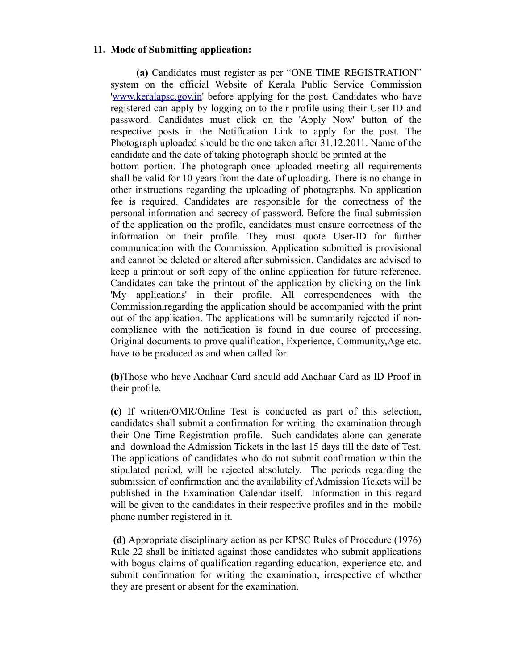#### **11. Mode of Submitting application:**

 **(a)** Candidates must register as per "ONE TIME REGISTRATION" system on the official Website of Kerala Public Service Commission ['www.keralapsc.gov.in'](http://www.keralapsc.gov.in/) before applying for the post. Candidates who have registered can apply by logging on to their profile using their User-ID and password. Candidates must click on the 'Apply Now' button of the respective posts in the Notification Link to apply for the post. The Photograph uploaded should be the one taken after 31.12.2011. Name of the candidate and the date of taking photograph should be printed at the

bottom portion. The photograph once uploaded meeting all requirements shall be valid for 10 years from the date of uploading. There is no change in other instructions regarding the uploading of photographs. No application fee is required. Candidates are responsible for the correctness of the personal information and secrecy of password. Before the final submission of the application on the profile, candidates must ensure correctness of the information on their profile. They must quote User-ID for further communication with the Commission. Application submitted is provisional and cannot be deleted or altered after submission. Candidates are advised to keep a printout or soft copy of the online application for future reference. Candidates can take the printout of the application by clicking on the link 'My applications' in their profile. All correspondences with the Commission,regarding the application should be accompanied with the print out of the application. The applications will be summarily rejected if noncompliance with the notification is found in due course of processing. Original documents to prove qualification, Experience, Community,Age etc. have to be produced as and when called for.

**(b)**Those who have Aadhaar Card should add Aadhaar Card as ID Proof in their profile.

**(c)** If written/OMR/Online Test is conducted as part of this selection, candidates shall submit a confirmation for writing the examination through their One Time Registration profile. Such candidates alone can generate and download the Admission Tickets in the last 15 days till the date of Test. The applications of candidates who do not submit confirmation within the stipulated period, will be rejected absolutely. The periods regarding the submission of confirmation and the availability of Admission Tickets will be published in the Examination Calendar itself. Information in this regard will be given to the candidates in their respective profiles and in the mobile phone number registered in it.

 **(d)** Appropriate disciplinary action as per KPSC Rules of Procedure (1976) Rule 22 shall be initiated against those candidates who submit applications with bogus claims of qualification regarding education, experience etc. and submit confirmation for writing the examination, irrespective of whether they are present or absent for the examination.